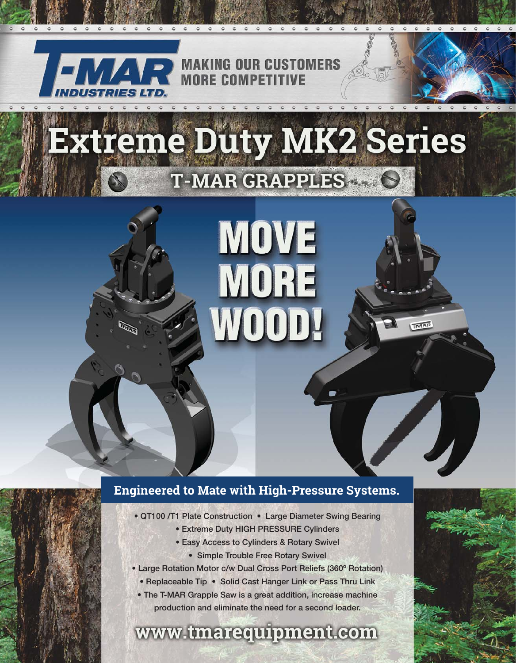

## Extreme Duty MK2 Series T-MAR GRAPPLES &

# **MOVE** MORE

**TMAR** 

#### **Engineered to Mate with High-Pressure Systems.**

- QT100 /T1 Plate Construction Large Diameter Swing Bearing
	- Extreme Duty HIGH PRESSURE Cylinders
	- Easy Access to Cylinders & Rotary Swivel
		- Simple Trouble Free Rotary Swivel
- Large Rotation Motor c/w Dual Cross Port Reliefs (360º Rotation)
	- Replaceable Tip Solid Cast Hanger Link or Pass Thru Link
	- The T-MAR Grapple Saw is a great addition, increase machine production and eliminate the need for a second loader.

#### www.tmarequipment.com